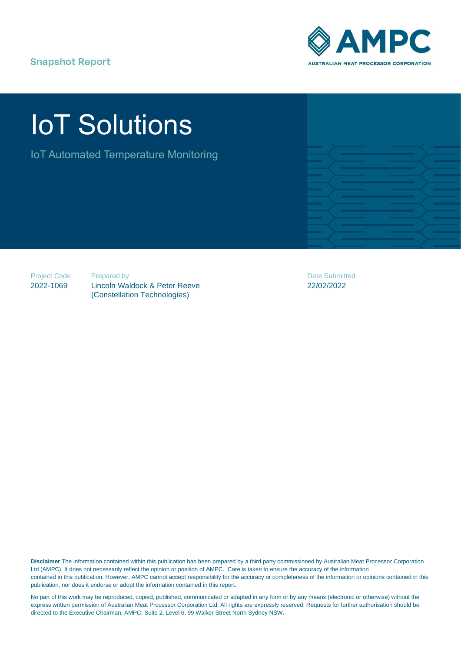# **Snapshot Report**



# IoT Solutions

IoT Automated Temperature Monitoring

| ——                       | ______                                                                                                                                                                                                                                       | <u> The Common Second Common Second Common Second Common Second Common Second Common Second Common Second Common Second Common Second Common Second Common Second Common Second Common Second Common Second Common Second Common</u> | <b>The Company of the Company</b>      |
|--------------------------|----------------------------------------------------------------------------------------------------------------------------------------------------------------------------------------------------------------------------------------------|--------------------------------------------------------------------------------------------------------------------------------------------------------------------------------------------------------------------------------------|----------------------------------------|
| __                       |                                                                                                                                                                                                                                              |                                                                                                                                                                                                                                      | __                                     |
| __                       | ___                                                                                                                                                                                                                                          | <b>STATISTICS</b>                                                                                                                                                                                                                    | <b>Property</b>                        |
| — 1                      |                                                                                                                                                                                                                                              |                                                                                                                                                                                                                                      | <b>The Company</b>                     |
| __<br><b>The Company</b> |                                                                                                                                                                                                                                              |                                                                                                                                                                                                                                      | <b>The Common</b><br><b>STATISTICS</b> |
| __                       | <u> The Common Section of the Common Section of the Common Section of the Common Section of the Common Section of the Common Section of the Common Section of the Common Section of the Common Section of the Common Section of </u><br>____ |                                                                                                                                                                                                                                      | <b>The Company of the Company</b>      |
| and the second state     |                                                                                                                                                                                                                                              |                                                                                                                                                                                                                                      |                                        |

Project Code 2022-1069

Prepared by

Lincoln Waldock & Peter Reeve (Constellation Technologies)

Date Submitted 22/02/2022

**Disclaimer** The information contained within this publication has been prepared by a third party commissioned by Australian Meat Processor Corporation Ltd (AMPC). It does not necessarily reflect the opinion or position of AMPC. Care is taken to ensure the accuracy of the information contained in this publication. However, AMPC cannot accept responsibility for the accuracy or completeness of the information or opinions contained in this publication, nor does it endorse or adopt the information contained in this report.

No part of this work may be reproduced, copied, published, communicated or adapted in any form or by any means (electronic or otherwise) without the express written permission of Australian Meat Processor Corporation Ltd. All rights are expressly reserved. Requests for further authorisation should be directed to the Executive Chairman, AMPC, Suite 2, Level 6, 99 Walker Street North Sydney NSW.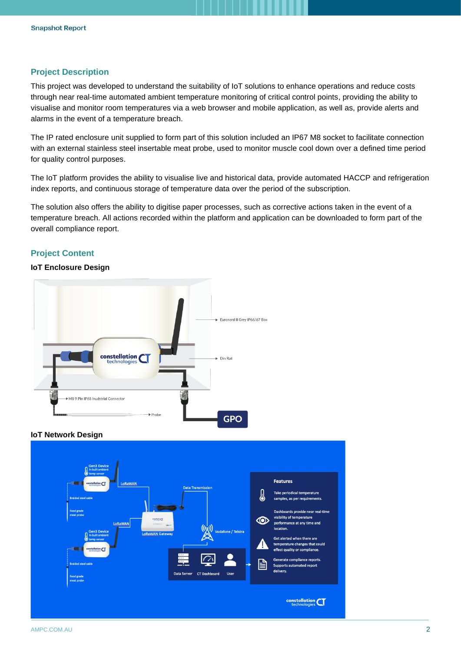## **Project Description**

This project was developed to understand the suitability of IoT solutions to enhance operations and reduce costs through near real-time automated ambient temperature monitoring of critical control points, providing the ability to visualise and monitor room temperatures via a web browser and mobile application, as well as, provide alerts and alarms in the event of a temperature breach.

The IP rated enclosure unit supplied to form part of this solution included an IP67 M8 socket to facilitate connection with an external stainless steel insertable meat probe, used to monitor muscle cool down over a defined time period for quality control purposes.

The IoT platform provides the ability to visualise live and historical data, provide automated HACCP and refrigeration index reports, and continuous storage of temperature data over the period of the subscription.

The solution also offers the ability to digitise paper processes, such as corrective actions taken in the event of a temperature breach. All actions recorded within the platform and application can be downloaded to form part of the overall compliance report.

# **Project Content**

## **IoT Enclosure Design**